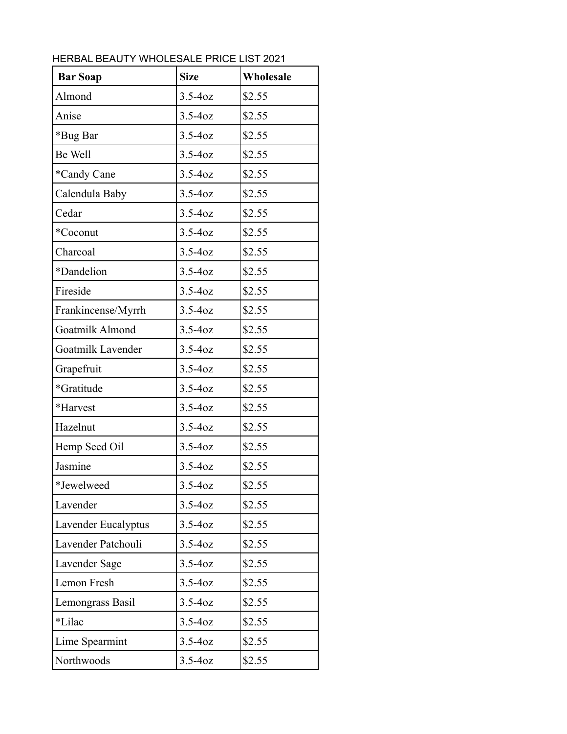| <b>Bar Soap</b>     | <b>Size</b> | Wholesale |
|---------------------|-------------|-----------|
| Almond              | $3.5 - 40z$ | \$2.55    |
| Anise               | $3.5 - 40z$ | \$2.55    |
| *Bug Bar            | $3.5 - 40z$ | \$2.55    |
| Be Well             | $3.5 - 40z$ | \$2.55    |
| *Candy Cane         | $3.5 - 40z$ | \$2.55    |
| Calendula Baby      | $3.5 - 40z$ | \$2.55    |
| Cedar               | $3.5 - 40z$ | \$2.55    |
| *Coconut            | $3.5 - 40z$ | \$2.55    |
| Charcoal            | $3.5 - 40z$ | \$2.55    |
| *Dandelion          | $3.5 - 40z$ | \$2.55    |
| Fireside            | $3.5 - 40z$ | \$2.55    |
| Frankincense/Myrrh  | $3.5 - 40z$ | \$2.55    |
| Goatmilk Almond     | $3.5 - 40z$ | \$2.55    |
| Goatmilk Lavender   | $3.5 - 40z$ | \$2.55    |
| Grapefruit          | $3.5 - 40z$ | \$2.55    |
| *Gratitude          | $3.5 - 40z$ | \$2.55    |
| *Harvest            | $3.5 - 40z$ | \$2.55    |
| Hazelnut            | $3.5 - 40z$ | \$2.55    |
| Hemp Seed Oil       | $3.5 - 40z$ | \$2.55    |
| Jasmine             | $3.5 - 40z$ | \$2.55    |
| *Jewelweed          | $3.5 - 40z$ | \$2.55    |
| Lavender            | $3.5 - 40z$ | \$2.55    |
| Lavender Eucalyptus | $3.5 - 40z$ | \$2.55    |
| Lavender Patchouli  | $3.5 - 40z$ | \$2.55    |
| Lavender Sage       | $3.5 - 40z$ | \$2.55    |
| Lemon Fresh         | $3.5 - 40z$ | \$2.55    |
| Lemongrass Basil    | $3.5 - 40z$ | \$2.55    |
| *Lilac              | $3.5 - 40z$ | \$2.55    |
| Lime Spearmint      | $3.5 - 40z$ | \$2.55    |
| Northwoods          | $3.5 - 40z$ | \$2.55    |

HERBAL BEAUTY WHOLESALE PRICE LIST 2021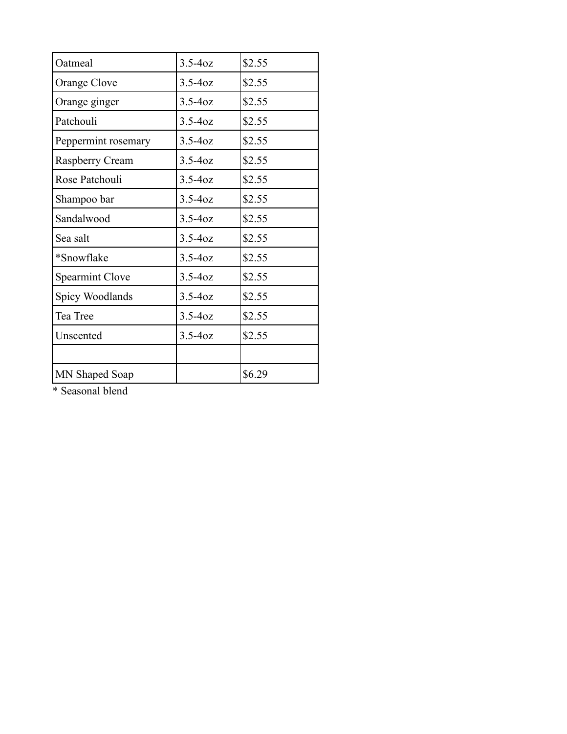| Oatmeal                | $3.5 - 40z$ | \$2.55 |
|------------------------|-------------|--------|
| Orange Clove           | $3.5 - 40z$ | \$2.55 |
| Orange ginger          | $3.5 - 40z$ | \$2.55 |
| Patchouli              | $3.5 - 40z$ | \$2.55 |
| Peppermint rosemary    | $3.5 - 40z$ | \$2.55 |
| Raspberry Cream        | $3.5 - 40z$ | \$2.55 |
| Rose Patchouli         | $3.5 - 40z$ | \$2.55 |
| Shampoo bar            | $3.5 - 40z$ | \$2.55 |
| Sandalwood             | $3.5 - 40z$ | \$2.55 |
| Sea salt               | $3.5 - 40z$ | \$2.55 |
| *Snowflake             | $3.5 - 40z$ | \$2.55 |
| <b>Spearmint Clove</b> | $3.5 - 40z$ | \$2.55 |
| Spicy Woodlands        | $3.5 - 40z$ | \$2.55 |
| Tea Tree               | $3.5 - 40z$ | \$2.55 |
| Unscented              | $3.5 - 40z$ | \$2.55 |
|                        |             |        |
| MN Shaped Soap         |             | \$6.29 |

\* Seasonal blend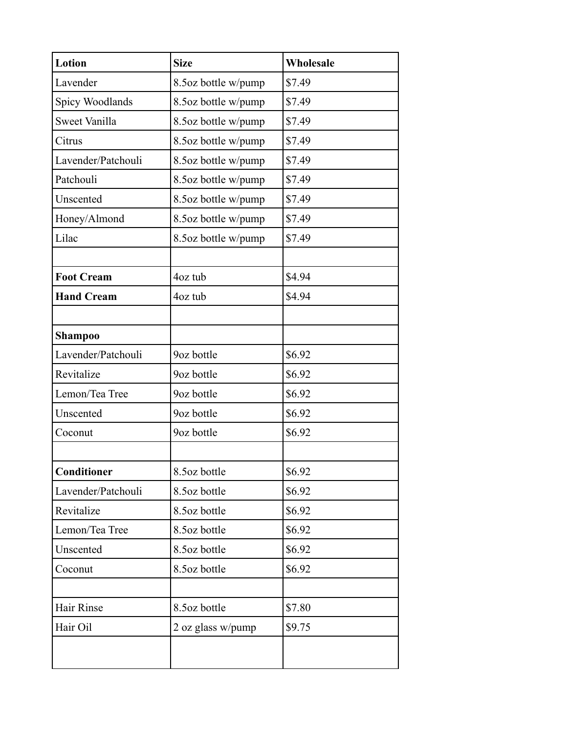| Lotion             | <b>Size</b>         | <b>Wholesale</b> |
|--------------------|---------------------|------------------|
| Lavender           | 8.5oz bottle w/pump | \$7.49           |
| Spicy Woodlands    | 8.5oz bottle w/pump | \$7.49           |
| Sweet Vanilla      | 8.5oz bottle w/pump | \$7.49           |
| Citrus             | 8.5oz bottle w/pump | \$7.49           |
| Lavender/Patchouli | 8.5oz bottle w/pump | \$7.49           |
| Patchouli          | 8.5oz bottle w/pump | \$7.49           |
| Unscented          | 8.5oz bottle w/pump | \$7.49           |
| Honey/Almond       | 8.5oz bottle w/pump | \$7.49           |
| Lilac              | 8.5oz bottle w/pump | \$7.49           |
|                    |                     |                  |
| <b>Foot Cream</b>  | 4oz tub             | \$4.94           |
| <b>Hand Cream</b>  | 4oz tub             | \$4.94           |
|                    |                     |                  |
| Shampoo            |                     |                  |
| Lavender/Patchouli | 9oz bottle          | \$6.92           |
| Revitalize         | 9oz bottle          | \$6.92           |
| Lemon/Tea Tree     | 9oz bottle          | \$6.92           |
| Unscented          | 9oz bottle          | \$6.92           |
| Coconut            | 9oz bottle          | \$6.92           |
|                    |                     |                  |
| Conditioner        | 8.5oz bottle        | \$6.92           |
| Lavender/Patchouli | 8.5oz bottle        | \$6.92           |
| Revitalize         | 8.5oz bottle        | \$6.92           |
| Lemon/Tea Tree     | 8.5oz bottle        | \$6.92           |
| Unscented          | 8.5oz bottle        | \$6.92           |
| Coconut            | 8.5oz bottle        | \$6.92           |
|                    |                     |                  |
| Hair Rinse         | 8.5oz bottle        | \$7.80           |
| Hair Oil           | 2 oz glass w/pump   | \$9.75           |
|                    |                     |                  |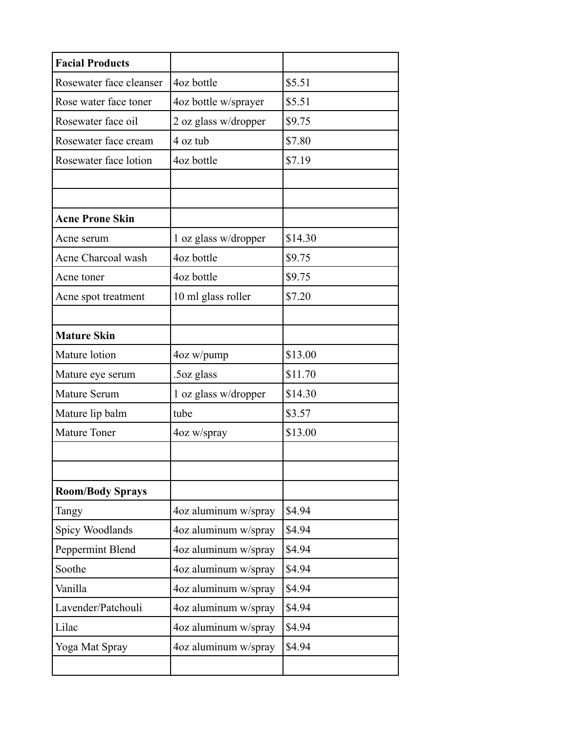| <b>Facial Products</b>    |                      |         |
|---------------------------|----------------------|---------|
| Rosewater face cleanser   | 4oz bottle           | \$5.51  |
| Rose water face toner     | 4oz bottle w/sprayer | \$5.51  |
| Rosewater face oil        | 2 oz glass w/dropper | \$9.75  |
| Rosewater face cream      | 4 oz tub             | \$7.80  |
| Rosewater face lotion     | 4oz bottle           | \$7.19  |
|                           |                      |         |
|                           |                      |         |
| <b>Acne Prone Skin</b>    |                      |         |
| Acne serum                | 1 oz glass w/dropper | \$14.30 |
| <b>Acne Charcoal wash</b> | 4oz bottle           | \$9.75  |
| Acne toner                | 4oz bottle           | \$9.75  |
| Acne spot treatment       | 10 ml glass roller   | \$7.20  |
|                           |                      |         |
| <b>Mature Skin</b>        |                      |         |
| Mature lotion             | 4oz w/pump           | \$13.00 |
| Mature eye serum          | .5oz glass           | \$11.70 |
| Mature Serum              | 1 oz glass w/dropper | \$14.30 |
| Mature lip balm           | tube                 | \$3.57  |
| <b>Mature Toner</b>       | 4oz w/spray          | \$13.00 |
|                           |                      |         |
|                           |                      |         |
| <b>Room/Body Sprays</b>   |                      |         |
| Tangy                     | 4oz aluminum w/spray | \$4.94  |
| Spicy Woodlands           | 4oz aluminum w/spray | \$4.94  |
| Peppermint Blend          | 4oz aluminum w/spray | \$4.94  |
| Soothe                    | 4oz aluminum w/spray | \$4.94  |
| Vanilla                   | 4oz aluminum w/spray | \$4.94  |
| Lavender/Patchouli        | 4oz aluminum w/spray | \$4.94  |
| Lilac                     | 4oz aluminum w/spray | \$4.94  |
| Yoga Mat Spray            | 4oz aluminum w/spray | \$4.94  |
|                           |                      |         |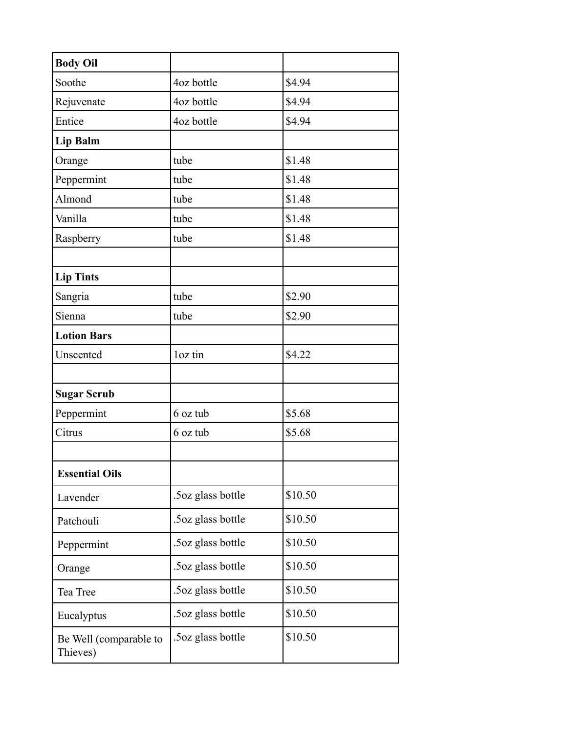| <b>Body Oil</b>                    |                   |         |
|------------------------------------|-------------------|---------|
| Soothe                             | 4oz bottle        | \$4.94  |
| Rejuvenate                         | 4oz bottle        | \$4.94  |
| Entice                             | 4oz bottle        | \$4.94  |
| Lip Balm                           |                   |         |
| Orange                             | tube              | \$1.48  |
| Peppermint                         | tube              | \$1.48  |
| Almond                             | tube              | \$1.48  |
| Vanilla                            | tube              | \$1.48  |
| Raspberry                          | tube              | \$1.48  |
|                                    |                   |         |
| <b>Lip Tints</b>                   |                   |         |
| Sangria                            | tube              | \$2.90  |
| Sienna                             | tube              | \$2.90  |
| <b>Lotion Bars</b>                 |                   |         |
| Unscented                          | loz tin           | \$4.22  |
|                                    |                   |         |
| <b>Sugar Scrub</b>                 |                   |         |
| Peppermint                         | 6 oz tub          | \$5.68  |
| Citrus                             | 6 oz tub          | \$5.68  |
|                                    |                   |         |
| <b>Essential Oils</b>              |                   |         |
| Lavender                           | .5oz glass bottle | \$10.50 |
| Patchouli                          | .5oz glass bottle | \$10.50 |
| Peppermint                         | .5oz glass bottle | \$10.50 |
| Orange                             | .5oz glass bottle | \$10.50 |
| Tea Tree                           | .5oz glass bottle | \$10.50 |
| Eucalyptus                         | .5oz glass bottle | \$10.50 |
| Be Well (comparable to<br>Thieves) | .5oz glass bottle | \$10.50 |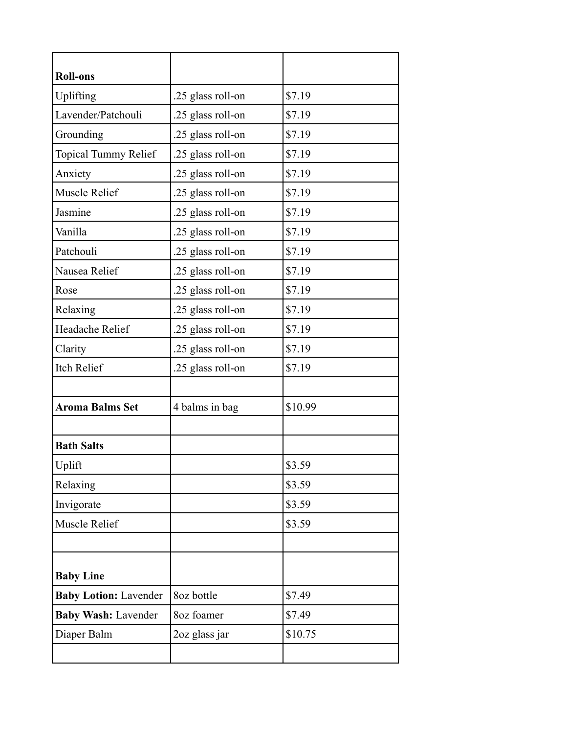| <b>Roll-ons</b>              |                   |         |
|------------------------------|-------------------|---------|
| Uplifting                    | .25 glass roll-on | \$7.19  |
| Lavender/Patchouli           | .25 glass roll-on | \$7.19  |
| Grounding                    | .25 glass roll-on | \$7.19  |
| <b>Topical Tummy Relief</b>  | .25 glass roll-on | \$7.19  |
| Anxiety                      | .25 glass roll-on | \$7.19  |
| Muscle Relief                | .25 glass roll-on | \$7.19  |
| Jasmine                      | .25 glass roll-on | \$7.19  |
| Vanilla                      | .25 glass roll-on | \$7.19  |
| Patchouli                    | .25 glass roll-on | \$7.19  |
| Nausea Relief                | .25 glass roll-on | \$7.19  |
| Rose                         | .25 glass roll-on | \$7.19  |
| Relaxing                     | .25 glass roll-on | \$7.19  |
| Headache Relief              | .25 glass roll-on | \$7.19  |
| Clarity                      | .25 glass roll-on | \$7.19  |
| <b>Itch Relief</b>           | .25 glass roll-on | \$7.19  |
|                              |                   |         |
| <b>Aroma Balms Set</b>       | 4 balms in bag    | \$10.99 |
|                              |                   |         |
| <b>Bath Salts</b>            |                   |         |
| Uplift                       |                   | \$3.59  |
| Relaxing                     |                   | \$3.59  |
| Invigorate                   |                   | \$3.59  |
| Muscle Relief                |                   | \$3.59  |
|                              |                   |         |
| <b>Baby Line</b>             |                   |         |
| <b>Baby Lotion: Lavender</b> | 8oz bottle        | \$7.49  |
| <b>Baby Wash: Lavender</b>   | 8oz foamer        | \$7.49  |
| Diaper Balm                  | 2oz glass jar     | \$10.75 |
|                              |                   |         |